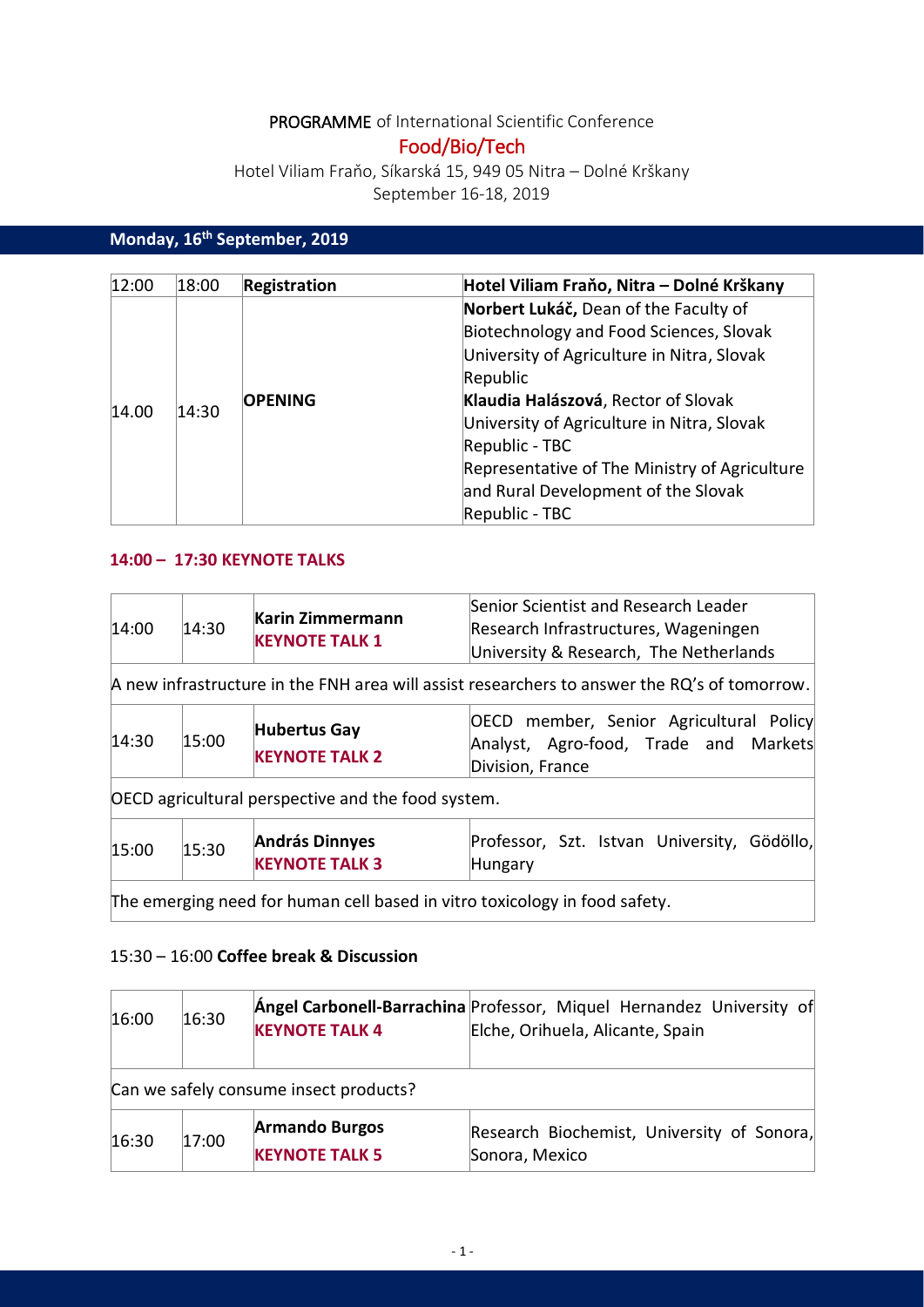# PROGRAMME of International Scientific Conference

# Food/Bio/Tech

Hotel Viliam Fraňo, Síkarská 15, 949 05 Nitra – Dolné Krškany September 16-18, 2019

# **Monday, 16th September, 2019**

| 12:00 | 18:00 | <b>Registration</b> | Hotel Viliam Fraňo, Nitra – Dolné Krškany     |
|-------|-------|---------------------|-----------------------------------------------|
| 14.00 |       | <b>OPENING</b>      | Norbert Lukáč, Dean of the Faculty of         |
|       |       |                     | Biotechnology and Food Sciences, Slovak       |
|       |       |                     | University of Agriculture in Nitra, Slovak    |
|       | 14:30 |                     | Republic                                      |
|       |       |                     | Klaudia Halászová, Rector of Slovak           |
|       |       |                     | University of Agriculture in Nitra, Slovak    |
|       |       |                     | Republic - TBC                                |
|       |       |                     | Representative of The Ministry of Agriculture |
|       |       |                     | and Rural Development of the Slovak           |
|       |       |                     | Republic - TBC                                |

#### **14:00 – 17:30 KEYNOTE TALKS**

| 14:00 | 14:30                                                                                        | Karin Zimmermann<br><b>KEYNOTE TALK 1</b>          | Senior Scientist and Research Leader<br>Research Infrastructures, Wageningen<br>University & Research, The Netherlands |  |  |  |
|-------|----------------------------------------------------------------------------------------------|----------------------------------------------------|------------------------------------------------------------------------------------------------------------------------|--|--|--|
|       | A new infrastructure in the FNH area will assist researchers to answer the RQ's of tomorrow. |                                                    |                                                                                                                        |  |  |  |
| 14:30 | 15:00                                                                                        | <b>Hubertus Gay</b><br><b>KEYNOTE TALK 2</b>       | OECD member, Senior Agricultural Policy<br>Analyst, Agro-food, Trade and Markets<br>Division, France                   |  |  |  |
|       |                                                                                              | OECD agricultural perspective and the food system. |                                                                                                                        |  |  |  |
| 15:00 | 15:30                                                                                        | <b>András Dinnyes</b><br><b>KEYNOTE TALK 3</b>     | Professor, Szt. Istvan University, Gödöllo,<br>Hungary                                                                 |  |  |  |
|       | The emerging need for human cell based in vitro toxicology in food safety.                   |                                                    |                                                                                                                        |  |  |  |

## 15:30 – 16:00 **Coffee break & Discussion**

| 16:00 | 16:30 | <b>KEYNOTE TALK 4</b>                          | Angel Carbonell-Barrachina Professor, Miquel Hernandez University of<br>Elche, Orihuela, Alicante, Spain |
|-------|-------|------------------------------------------------|----------------------------------------------------------------------------------------------------------|
|       |       | Can we safely consume insect products?         |                                                                                                          |
| 16:30 | 17:00 | <b>Armando Burgos</b><br><b>KEYNOTE TALK 5</b> | Research Biochemist, University of Sonora,<br>Sonora, Mexico                                             |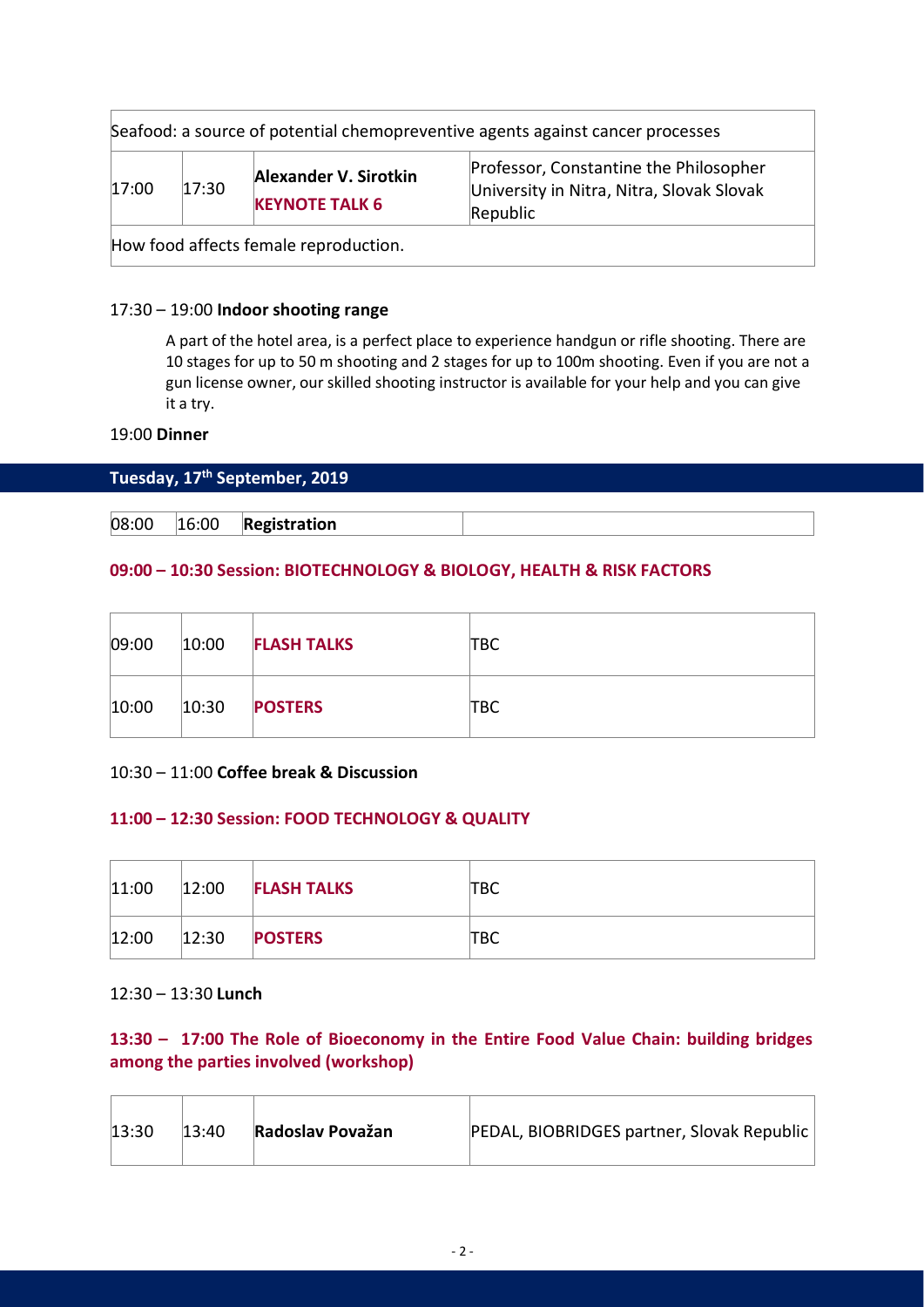| 17:00 | 17:30 | Alexander V. Sirotkin | Professor, Constantine the Philosopher<br>University in Nitra, Nitra, Slovak Slovak |
|-------|-------|-----------------------|-------------------------------------------------------------------------------------|
|       |       | <b>KEYNOTE TALK 6</b> | Republic                                                                            |

#### 17:30 – 19:00 **Indoor shooting range**

A part of the hotel area, is a perfect place to experience handgun or rifle shooting. There are 10 stages for up to 50 m shooting and 2 stages for up to 100m shooting. Even if you are not a gun license owner, our skilled shooting instructor is available for your help and you can give it a try.

#### 19:00 **Dinner**

#### **Tuesday, 17th September, 2019**

08:00 16:00 **Registration**

#### **09:00 – 10:30 Session: BIOTECHNOLOGY & BIOLOGY, HEALTH & RISK FACTORS**

| 09:00 | 10:00 | <b>FLASH TALKS</b> | твс |
|-------|-------|--------------------|-----|
| 10:00 | 10:30 | <b>POSTERS</b>     | твс |

#### 10:30 – 11:00 **Coffee break & Discussion**

#### **11:00 – 12:30 Session: FOOD TECHNOLOGY & QUALITY**

| 11:00 | 12:00 | <b>FLASH TALKS</b> | твс |
|-------|-------|--------------------|-----|
| 12:00 | 12:30 | <b>POSTERS</b>     | твс |

#### 12:30 – 13:30 **Lunch**

## **13:30 – 17:00 The Role of Bioeconomy in the Entire Food Value Chain: building bridges among the parties involved (workshop)**

| 13:30 | 13:40 | Radoslav Považan | PEDAL, BIOBRIDGES partner, Slovak Republic |
|-------|-------|------------------|--------------------------------------------|
|-------|-------|------------------|--------------------------------------------|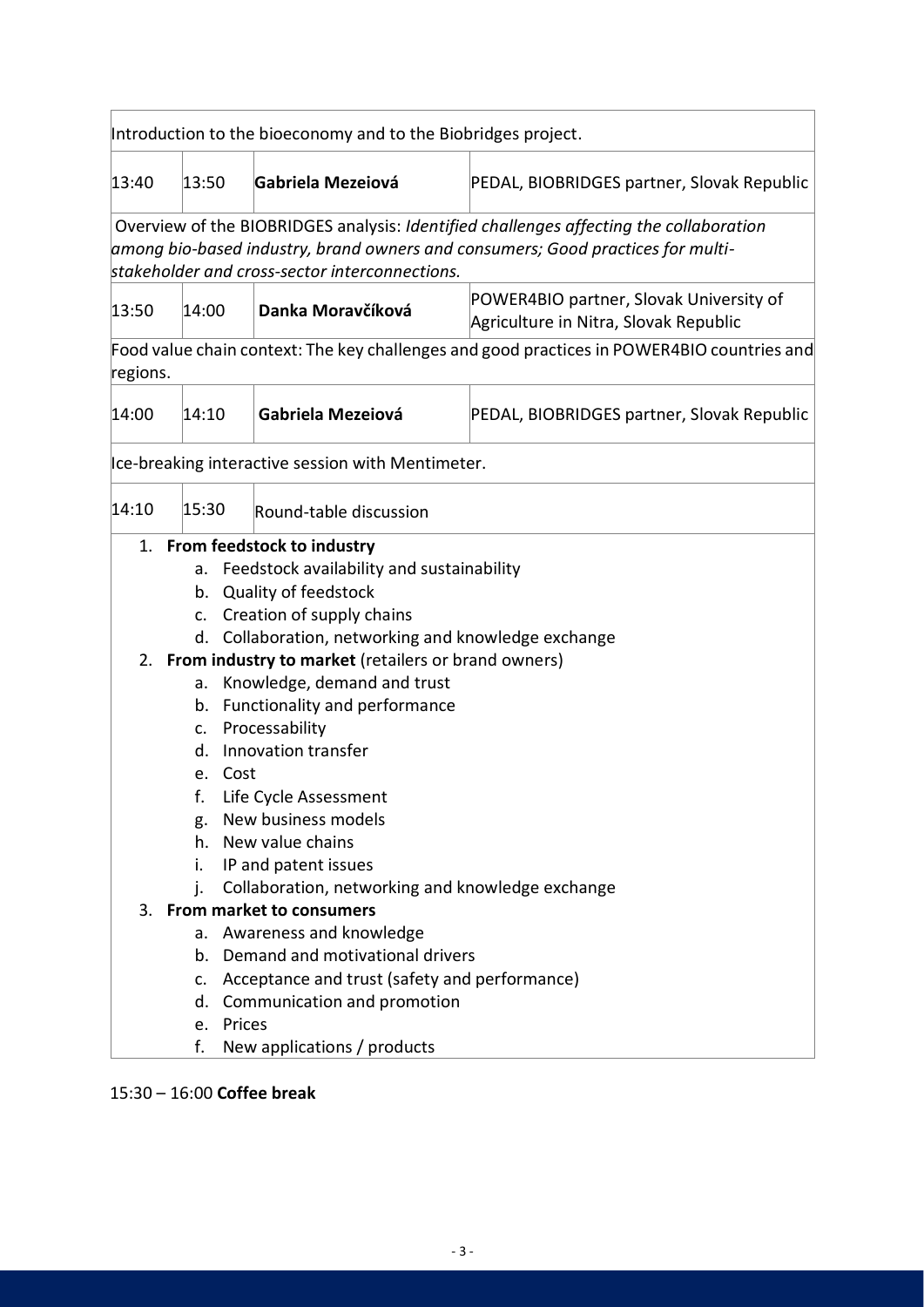| Introduction to the bioeconomy and to the Biobridges project. |                                                                                                                                                                                                                             |                  |                                                        |                                                                                  |  |
|---------------------------------------------------------------|-----------------------------------------------------------------------------------------------------------------------------------------------------------------------------------------------------------------------------|------------------|--------------------------------------------------------|----------------------------------------------------------------------------------|--|
| 13:40                                                         | 13:50                                                                                                                                                                                                                       |                  | Gabriela Mezeiová                                      | PEDAL, BIOBRIDGES partner, Slovak Republic                                       |  |
|                                                               | Overview of the BIOBRIDGES analysis: Identified challenges affecting the collaboration<br>among bio-based industry, brand owners and consumers; Good practices for multi-<br>stakeholder and cross-sector interconnections. |                  |                                                        |                                                                                  |  |
| 13:50                                                         | 14:00                                                                                                                                                                                                                       |                  | Danka Moravčíková                                      | POWER4BIO partner, Slovak University of<br>Agriculture in Nitra, Slovak Republic |  |
|                                                               | Food value chain context: The key challenges and good practices in POWER4BIO countries and<br>regions.                                                                                                                      |                  |                                                        |                                                                                  |  |
| 14:00                                                         | Gabriela Mezeiová<br>14:10                                                                                                                                                                                                  |                  | PEDAL, BIOBRIDGES partner, Slovak Republic             |                                                                                  |  |
|                                                               |                                                                                                                                                                                                                             |                  | Ice-breaking interactive session with Mentimeter.      |                                                                                  |  |
| 14:10                                                         | 15:30                                                                                                                                                                                                                       |                  | Round-table discussion                                 |                                                                                  |  |
|                                                               | 1. From feedstock to industry                                                                                                                                                                                               |                  |                                                        |                                                                                  |  |
|                                                               | a. Feedstock availability and sustainability                                                                                                                                                                                |                  |                                                        |                                                                                  |  |
|                                                               | b. Quality of feedstock                                                                                                                                                                                                     |                  |                                                        |                                                                                  |  |
| c. Creation of supply chains                                  |                                                                                                                                                                                                                             |                  |                                                        |                                                                                  |  |
|                                                               |                                                                                                                                                                                                                             |                  | d. Collaboration, networking and knowledge exchange    |                                                                                  |  |
|                                                               |                                                                                                                                                                                                                             |                  | 2. From industry to market (retailers or brand owners) |                                                                                  |  |
|                                                               | Knowledge, demand and trust<br>a.                                                                                                                                                                                           |                  |                                                        |                                                                                  |  |
|                                                               |                                                                                                                                                                                                                             |                  | b. Functionality and performance                       |                                                                                  |  |
|                                                               |                                                                                                                                                                                                                             |                  | c. Processability                                      |                                                                                  |  |
|                                                               | d.                                                                                                                                                                                                                          |                  | Innovation transfer                                    |                                                                                  |  |
|                                                               |                                                                                                                                                                                                                             | e. Cost          |                                                        |                                                                                  |  |
|                                                               | f.                                                                                                                                                                                                                          |                  | Life Cycle Assessment                                  |                                                                                  |  |
|                                                               | g.                                                                                                                                                                                                                          |                  | New business models                                    |                                                                                  |  |
|                                                               | h.                                                                                                                                                                                                                          | New value chains |                                                        |                                                                                  |  |
|                                                               | i.                                                                                                                                                                                                                          |                  | IP and patent issues                                   |                                                                                  |  |
|                                                               | j.                                                                                                                                                                                                                          |                  | Collaboration, networking and knowledge exchange       |                                                                                  |  |
|                                                               |                                                                                                                                                                                                                             |                  | 3. From market to consumers                            |                                                                                  |  |
|                                                               | а.                                                                                                                                                                                                                          |                  | Awareness and knowledge                                |                                                                                  |  |
|                                                               |                                                                                                                                                                                                                             |                  | b. Demand and motivational drivers                     |                                                                                  |  |
|                                                               | C.                                                                                                                                                                                                                          |                  | Acceptance and trust (safety and performance)          |                                                                                  |  |
|                                                               | d.                                                                                                                                                                                                                          |                  | Communication and promotion                            |                                                                                  |  |
|                                                               | e.                                                                                                                                                                                                                          | Prices           |                                                        |                                                                                  |  |
|                                                               | f.                                                                                                                                                                                                                          |                  | New applications / products                            |                                                                                  |  |

## 15:30 – 16:00 **Coffee break**